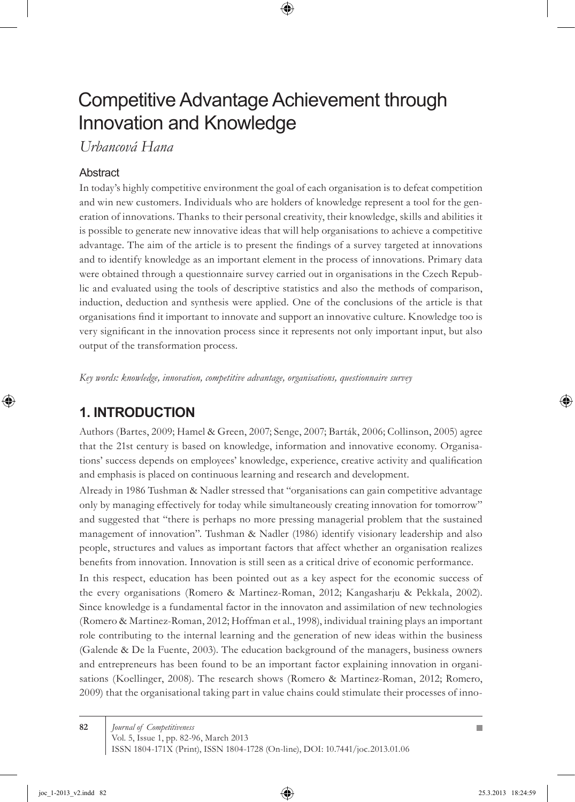# Competitive Advantage Achievement through Innovation and Knowledge

*Urbancová Hana*

#### Abstract

In today's highly competitive environment the goal of each organisation is to defeat competition and win new customers. Individuals who are holders of knowledge represent a tool for the generation of innovations. Thanks to their personal creativity, their knowledge, skills and abilities it is possible to generate new innovative ideas that will help organisations to achieve a competitive advantage. The aim of the article is to present the findings of a survey targeted at innovations and to identify knowledge as an important element in the process of innovations. Primary data were obtained through a questionnaire survey carried out in organisations in the Czech Republic and evaluated using the tools of descriptive statistics and also the methods of comparison, induction, deduction and synthesis were applied. One of the conclusions of the article is that organisations find it important to innovate and support an innovative culture. Knowledge too is very significant in the innovation process since it represents not only important input, but also output of the transformation process.

*Key words: knowledge, innovation, competitive advantage, organisations, questionnaire survey*

# **1. INTRODUCTION**

Authors (Bartes, 2009; Hamel & Green, 2007; Senge, 2007; Barták, 2006; Collinson, 2005) agree that the 21st century is based on knowledge, information and innovative economy. Organisations' success depends on employees' knowledge, experience, creative activity and qualification and emphasis is placed on continuous learning and research and development.

Already in 1986 Tushman & Nadler stressed that "organisations can gain competitive advantage only by managing effectively for today while simultaneously creating innovation for tomorrow" and suggested that "there is perhaps no more pressing managerial problem that the sustained management of innovation". Tushman & Nadler (1986) identify visionary leadership and also people, structures and values as important factors that affect whether an organisation realizes benefits from innovation. Innovation is still seen as a critical drive of economic performance.

In this respect, education has been pointed out as a key aspect for the economic success of the every organisations (Romero & Martinez-Roman, 2012; Kangasharju & Pekkala, 2002). Since knowledge is a fundamental factor in the innovaton and assimilation of new technologies (Romero & Martinez-Roman, 2012; Hoffman et al., 1998), individual training plays an important role contributing to the internal learning and the generation of new ideas within the business (Galende & De la Fuente, 2003). The education background of the managers, business owners and entrepreneurs has been found to be an important factor explaining innovation in organisations (Koellinger, 2008). The research shows (Romero & Martinez-Roman, 2012; Romero, 2009) that the organisational taking part in value chains could stimulate their processes of inno-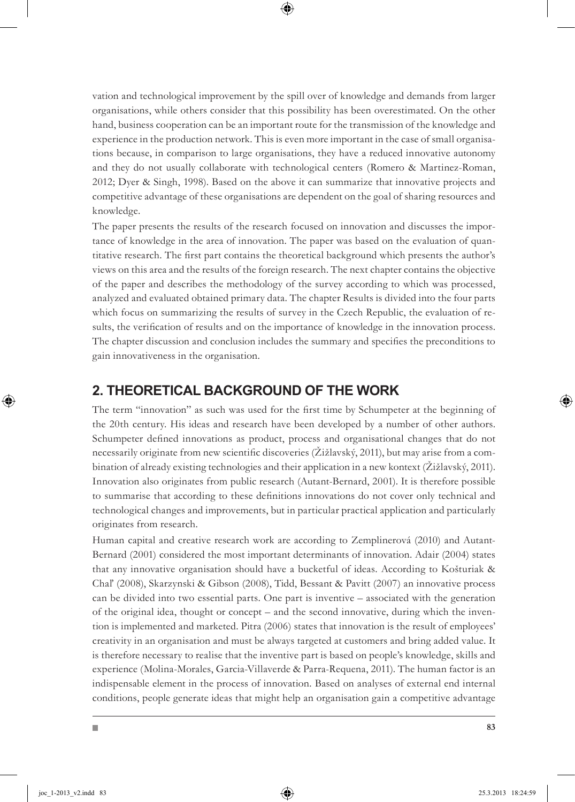vation and technological improvement by the spill over of knowledge and demands from larger organisations, while others consider that this possibility has been overestimated. On the other hand, business cooperation can be an important route for the transmission of the knowledge and experience in the production network. This is even more important in the case of small organisations because, in comparison to large organisations, they have a reduced innovative autonomy and they do not usually collaborate with technological centers (Romero & Martinez-Roman, 2012; Dyer & Singh, 1998). Based on the above it can summarize that innovative projects and competitive advantage of these organisations are dependent on the goal of sharing resources and knowledge.

The paper presents the results of the research focused on innovation and discusses the importance of knowledge in the area of innovation. The paper was based on the evaluation of quantitative research. The first part contains the theoretical background which presents the author's views on this area and the results of the foreign research. The next chapter contains the objective of the paper and describes the methodology of the survey according to which was processed, analyzed and evaluated obtained primary data. The chapter Results is divided into the four parts which focus on summarizing the results of survey in the Czech Republic, the evaluation of results, the verification of results and on the importance of knowledge in the innovation process. The chapter discussion and conclusion includes the summary and specifies the preconditions to gain innovativeness in the organisation.

### **2. THEORETICAL BACKGROUND OF THE WORK**

The term "innovation" as such was used for the first time by Schumpeter at the beginning of the 20th century. His ideas and research have been developed by a number of other authors. Schumpeter defined innovations as product, process and organisational changes that do not necessarily originate from new scientific discoveries (Žižlavský, 2011), but may arise from a combination of already existing technologies and their application in a new kontext (Žižlavský, 2011). Innovation also originates from public research (Autant-Bernard, 2001). It is therefore possible to summarise that according to these definitions innovations do not cover only technical and technological changes and improvements, but in particular practical application and particularly originates from research.

Human capital and creative research work are according to Zemplinerová (2010) and Autant-Bernard (2001) considered the most important determinants of innovation. Adair (2004) states that any innovative organisation should have a bucketful of ideas. According to Košturiak & Chaľ (2008), Skarzynski & Gibson (2008), Tidd, Bessant & Pavitt (2007) an innovative process can be divided into two essential parts. One part is inventive – associated with the generation of the original idea, thought or concept – and the second innovative, during which the invention is implemented and marketed. Pitra (2006) states that innovation is the result of employees' creativity in an organisation and must be always targeted at customers and bring added value. It is therefore necessary to realise that the inventive part is based on people's knowledge, skills and experience (Molina-Morales, Garcia-Villaverde & Parra-Requena, 2011). The human factor is an indispensable element in the process of innovation. Based on analyses of external end internal conditions, people generate ideas that might help an organisation gain a competitive advantage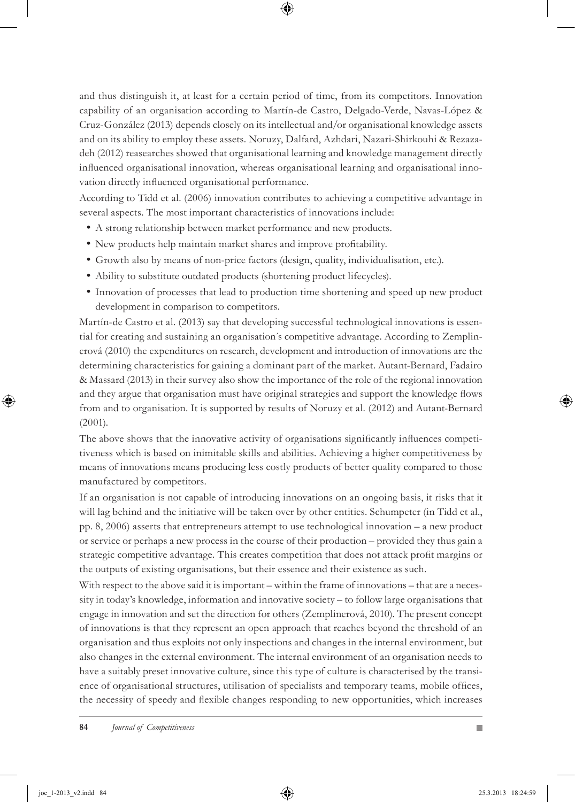and thus distinguish it, at least for a certain period of time, from its competitors. Innovation capability of an organisation according to Martín-de Castro, Delgado-Verde, Navas-López & Cruz-González (2013) depends closely on its intellectual and/or organisational knowledge assets and on its ability to employ these assets. Noruzy, Dalfard, Azhdari, Nazari-Shirkouhi & Rezazadeh (2012) reasearches showed that organisational learning and knowledge management directly influenced organisational innovation, whereas organisational learning and organisational innovation directly influenced organisational performance.

According to Tidd et al. (2006) innovation contributes to achieving a competitive advantage in several aspects. The most important characteristics of innovations include:

- A strong relationship between market performance and new products.
- New products help maintain market shares and improve profitability.
- Growth also by means of non-price factors (design, quality, individualisation, etc.).
- Ability to substitute outdated products (shortening product lifecycles).
- Innovation of processes that lead to production time shortening and speed up new product development in comparison to competitors.

Martín-de Castro et al. (2013) say that developing successful technological innovations is essential for creating and sustaining an organisation´s competitive advantage. According to Zemplinerová (2010) the expenditures on research, development and introduction of innovations are the determining characteristics for gaining a dominant part of the market. Autant-Bernard, Fadairo & Massard (2013) in their survey also show the importance of the role of the regional innovation and they argue that organisation must have original strategies and support the knowledge flows from and to organisation. It is supported by results of Noruzy et al. (2012) and Autant-Bernard (2001).

The above shows that the innovative activity of organisations significantly influences competitiveness which is based on inimitable skills and abilities. Achieving a higher competitiveness by means of innovations means producing less costly products of better quality compared to those manufactured by competitors.

If an organisation is not capable of introducing innovations on an ongoing basis, it risks that it will lag behind and the initiative will be taken over by other entities. Schumpeter (in Tidd et al., pp. 8, 2006) asserts that entrepreneurs attempt to use technological innovation – a new product or service or perhaps a new process in the course of their production – provided they thus gain a strategic competitive advantage. This creates competition that does not attack profit margins or the outputs of existing organisations, but their essence and their existence as such.

With respect to the above said it is important – within the frame of innovations – that are a necessity in today's knowledge, information and innovative society – to follow large organisations that engage in innovation and set the direction for others (Zemplinerová, 2010). The present concept of innovations is that they represent an open approach that reaches beyond the threshold of an organisation and thus exploits not only inspections and changes in the internal environment, but also changes in the external environment. The internal environment of an organisation needs to have a suitably preset innovative culture, since this type of culture is characterised by the transience of organisational structures, utilisation of specialists and temporary teams, mobile offices, the necessity of speedy and flexible changes responding to new opportunities, which increases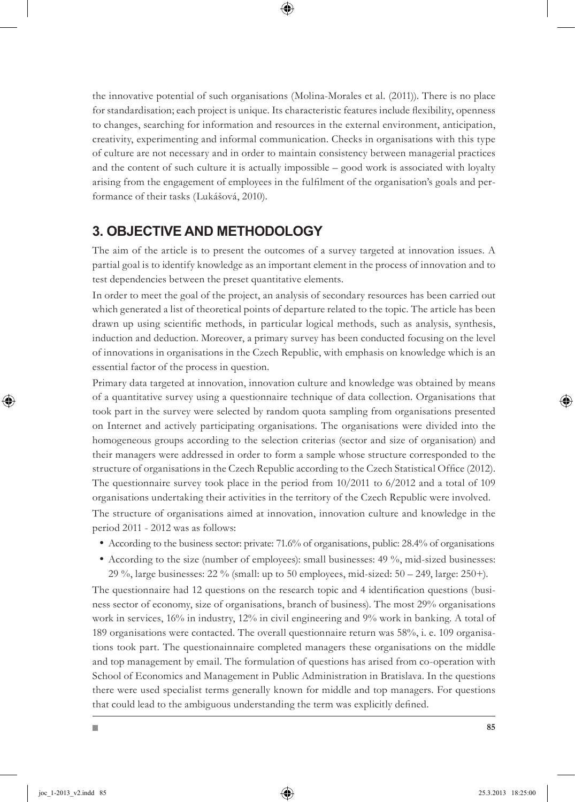the innovative potential of such organisations (Molina-Morales et al. (2011)). There is no place for standardisation; each project is unique. Its characteristic features include flexibility, openness to changes, searching for information and resources in the external environment, anticipation, creativity, experimenting and informal communication. Checks in organisations with this type of culture are not necessary and in order to maintain consistency between managerial practices and the content of such culture it is actually impossible – good work is associated with loyalty arising from the engagement of employees in the fulfilment of the organisation's goals and performance of their tasks (Lukášová, 2010).

### **3. OBJECTIVE AND METHODOLOGY**

The aim of the article is to present the outcomes of a survey targeted at innovation issues. A partial goal is to identify knowledge as an important element in the process of innovation and to test dependencies between the preset quantitative elements.

In order to meet the goal of the project, an analysis of secondary resources has been carried out which generated a list of theoretical points of departure related to the topic. The article has been drawn up using scientific methods, in particular logical methods, such as analysis, synthesis, induction and deduction. Moreover, a primary survey has been conducted focusing on the level of innovations in organisations in the Czech Republic, with emphasis on knowledge which is an essential factor of the process in question.

Primary data targeted at innovation, innovation culture and knowledge was obtained by means of a quantitative survey using a questionnaire technique of data collection. Organisations that took part in the survey were selected by random quota sampling from organisations presented on Internet and actively participating organisations. The organisations were divided into the homogeneous groups according to the selection criterias (sector and size of organisation) and their managers were addressed in order to form a sample whose structure corresponded to the structure of organisations in the Czech Republic according to the Czech Statistical Office (2012). The questionnaire survey took place in the period from 10/2011 to 6/2012 and a total of 109 organisations undertaking their activities in the territory of the Czech Republic were involved. The structure of organisations aimed at innovation, innovation culture and knowledge in the period 2011 - 2012 was as follows:

- According to the business sector: private: 71.6% of organisations, public: 28.4% of organisations
- According to the size (number of employees): small businesses: 49 %, mid-sized businesses: 29 %, large businesses: 22 % (small: up to 50 employees, mid-sized:  $50 - 249$ , large: 250+).

The questionnaire had 12 questions on the research topic and 4 identification questions (business sector of economy, size of organisations, branch of business). The most 29% organisations work in services, 16% in industry, 12% in civil engineering and 9% work in banking. A total of 189 organisations were contacted. The overall questionnaire return was 58%, i. e. 109 organisations took part. The questionainnaire completed managers these organisations on the middle and top management by email. The formulation of questions has arised from co-operation with School of Economics and Management in Public Administration in Bratislava. In the questions there were used specialist terms generally known for middle and top managers. For questions that could lead to the ambiguous understanding the term was explicitly defined.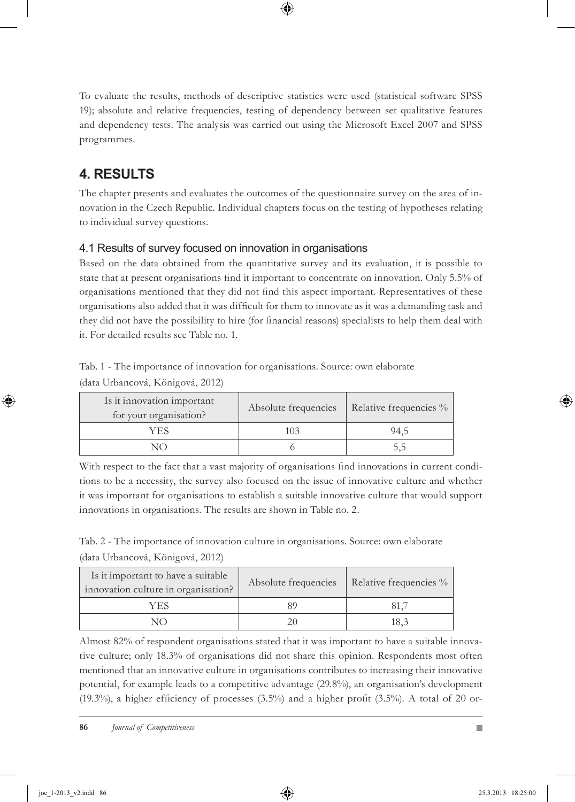To evaluate the results, methods of descriptive statistics were used (statistical software SPSS 19); absolute and relative frequencies, testing of dependency between set qualitative features and dependency tests. The analysis was carried out using the Microsoft Excel 2007 and SPSS programmes.

# **4. RESULTS**

The chapter presents and evaluates the outcomes of the questionnaire survey on the area of innovation in the Czech Republic. Individual chapters focus on the testing of hypotheses relating to individual survey questions.

#### 4.1 Results of survey focused on innovation in organisations

Based on the data obtained from the quantitative survey and its evaluation, it is possible to state that at present organisations find it important to concentrate on innovation. Only 5.5% of organisations mentioned that they did not find this aspect important. Representatives of these organisations also added that it was difficult for them to innovate as it was a demanding task and they did not have the possibility to hire (for financial reasons) specialists to help them deal with it. For detailed results see Table no. 1.

Tab. 1 - The importance of innovation for organisations. Source: own elaborate (data Urbancová, Königová, 2012)

| Is it innovation important<br>for your organisation? | Absolute frequencies | Relative frequencies % |
|------------------------------------------------------|----------------------|------------------------|
| YES                                                  | 103                  | 94.5                   |
| ÑО                                                   |                      |                        |

With respect to the fact that a vast majority of organisations find innovations in current conditions to be a necessity, the survey also focused on the issue of innovative culture and whether it was important for organisations to establish a suitable innovative culture that would support innovations in organisations. The results are shown in Table no. 2.

Tab. 2 - The importance of innovation culture in organisations. Source: own elaborate (data Urbancová, Königová, 2012)

| Is it important to have a suitable<br>innovation culture in organisation? | Absolute frequencies | Relative frequencies % |
|---------------------------------------------------------------------------|----------------------|------------------------|
| YES                                                                       |                      |                        |
| へい                                                                        |                      | 18,3                   |

Almost 82% of respondent organisations stated that it was important to have a suitable innovative culture; only 18.3% of organisations did not share this opinion. Respondents most often mentioned that an innovative culture in organisations contributes to increasing their innovative potential, for example leads to a competitive advantage (29.8%), an organisation's development  $(19.3\%)$ , a higher efficiency of processes  $(3.5\%)$  and a higher profit  $(3.5\%)$ . A total of 20 or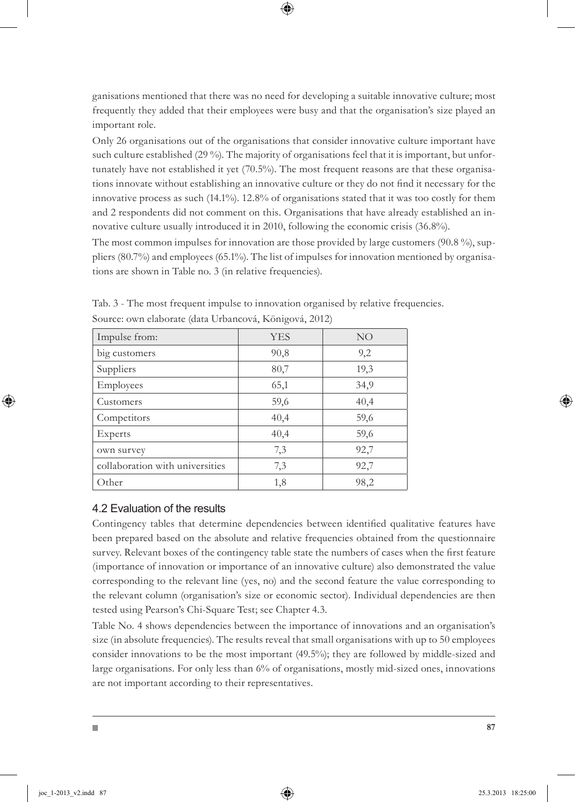ganisations mentioned that there was no need for developing a suitable innovative culture; most frequently they added that their employees were busy and that the organisation's size played an important role.

Only 26 organisations out of the organisations that consider innovative culture important have such culture established (29 %). The majority of organisations feel that it is important, but unfortunately have not established it yet (70.5%). The most frequent reasons are that these organisations innovate without establishing an innovative culture or they do not find it necessary for the innovative process as such (14.1%). 12.8% of organisations stated that it was too costly for them and 2 respondents did not comment on this. Organisations that have already established an innovative culture usually introduced it in 2010, following the economic crisis (36.8%).

The most common impulses for innovation are those provided by large customers (90.8 %), suppliers (80.7%) and employees (65.1%). The list of impulses for innovation mentioned by organisations are shown in Table no. 3 (in relative frequencies).

| Impulse from:                   | <b>YES</b> | NO <sub>1</sub> |
|---------------------------------|------------|-----------------|
| big customers                   | 90,8       | 9,2             |
| Suppliers                       | 80,7       | 19,3            |
| Employees                       | 65,1       | 34,9            |
| Customers                       | 59,6       | 40,4            |
| Competitors                     | 40,4       | 59,6            |
| Experts                         | 40,4       | 59,6            |
| own survey                      | 7,3        | 92,7            |
| collaboration with universities | 7,3        | 92,7            |
| Other                           | 1,8        | 98,2            |

Tab. 3 - The most frequent impulse to innovation organised by relative frequencies. Source: own elaborate (data Urbancová, Königová, 2012)

#### 4.2 Evaluation of the results

Contingency tables that determine dependencies between identified qualitative features have been prepared based on the absolute and relative frequencies obtained from the questionnaire survey. Relevant boxes of the contingency table state the numbers of cases when the first feature (importance of innovation or importance of an innovative culture) also demonstrated the value corresponding to the relevant line (yes, no) and the second feature the value corresponding to the relevant column (organisation's size or economic sector). Individual dependencies are then tested using Pearson's Chi-Square Test; see Chapter 4.3.

Table No. 4 shows dependencies between the importance of innovations and an organisation's size (in absolute frequencies). The results reveal that small organisations with up to 50 employees consider innovations to be the most important (49.5%); they are followed by middle-sized and large organisations. For only less than 6% of organisations, mostly mid-sized ones, innovations are not important according to their representatives.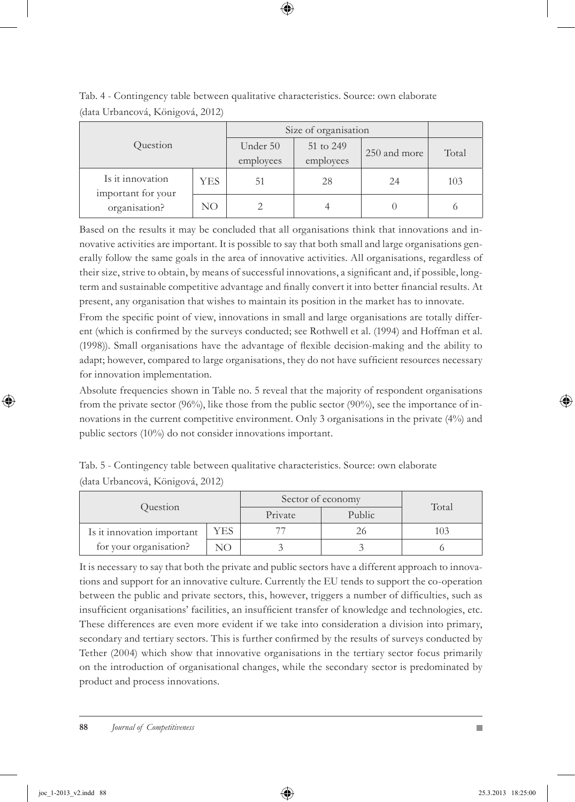| Question                               |     | Size of organisation  |                        |              |       |
|----------------------------------------|-----|-----------------------|------------------------|--------------|-------|
|                                        |     | Under 50<br>employees | 51 to 249<br>employees | 250 and more | Total |
| Is it innovation<br>important for your | YES | 51                    | 28                     | 24           | 103   |
| organisation?                          | NΟ  |                       |                        |              |       |

Tab. 4 - Contingency table between qualitative characteristics. Source: own elaborate (data Urbancová, Königová, 2012)

Based on the results it may be concluded that all organisations think that innovations and innovative activities are important. It is possible to say that both small and large organisations generally follow the same goals in the area of innovative activities. All organisations, regardless of their size, strive to obtain, by means of successful innovations, a significant and, if possible, longterm and sustainable competitive advantage and finally convert it into better financial results. At present, any organisation that wishes to maintain its position in the market has to innovate.

From the specific point of view, innovations in small and large organisations are totally different (which is confirmed by the surveys conducted; see Rothwell et al. (1994) and Hoffman et al. (1998)). Small organisations have the advantage of flexible decision-making and the ability to adapt; however, compared to large organisations, they do not have sufficient resources necessary for innovation implementation.

Absolute frequencies shown in Table no. 5 reveal that the majority of respondent organisations from the private sector (96%), like those from the public sector (90%), see the importance of innovations in the current competitive environment. Only 3 organisations in the private (4%) and public sectors (10%) do not consider innovations important.

Tab. 5 - Contingency table between qualitative characteristics. Source: own elaborate (data Urbancová, Königová, 2012)

| Ouestion                   |     | Sector of economy | Total  |  |
|----------------------------|-----|-------------------|--------|--|
|                            |     | Private           | Public |  |
| Is it innovation important | YES |                   |        |  |
| for your organisation?     | ÑО  |                   |        |  |

It is necessary to say that both the private and public sectors have a different approach to innovations and support for an innovative culture. Currently the EU tends to support the co-operation between the public and private sectors, this, however, triggers a number of difficulties, such as insufficient organisations' facilities, an insufficient transfer of knowledge and technologies, etc. These differences are even more evident if we take into consideration a division into primary, secondary and tertiary sectors. This is further confirmed by the results of surveys conducted by Tether (2004) which show that innovative organisations in the tertiary sector focus primarily on the introduction of organisational changes, while the secondary sector is predominated by product and process innovations.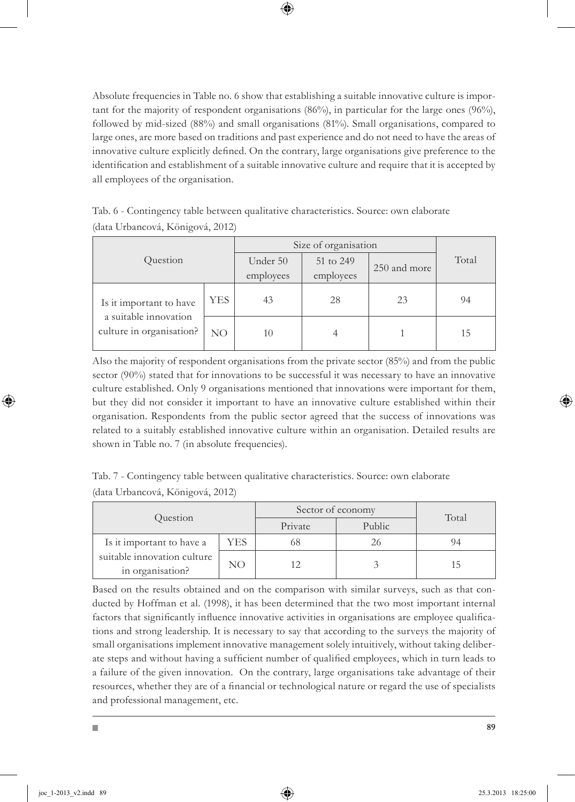Absolute frequencies in Table no. 6 show that establishing a suitable innovative culture is important for the majority of respondent organisations (86%), in particular for the large ones (96%), followed by mid-sized (88%) and small organisations (81%). Small organisations, compared to large ones, are more based on traditions and past experience and do not need to have the areas of innovative culture explicitly defined. On the contrary, large organisations give preference to the identification and establishment of a suitable innovative culture and require that it is accepted by all employees of the organisation.

| Tab. 6 - Contingency table between qualitative characteristics. Source: own elaborate |  |
|---------------------------------------------------------------------------------------|--|
| (data Urbancová, Königová, 2012)                                                      |  |

| Question                                          |     | Size of organisation |           |              |       |
|---------------------------------------------------|-----|----------------------|-----------|--------------|-------|
|                                                   |     | Under 50             | 51 to 249 | 250 and more | Total |
|                                                   |     | employees            | employees |              |       |
| Is it important to have                           | YES | 43                   | 28        | 23           | 94    |
| a suitable innovation<br>culture in organisation? | NO  | 10                   |           |              | כ ו   |

Also the majority of respondent organisations from the private sector (85%) and from the public sector (90%) stated that for innovations to be successful it was necessary to have an innovative culture established. Only 9 organisations mentioned that innovations were important for them, but they did not consider it important to have an innovative culture established within their organisation. Respondents from the public sector agreed that the success of innovations was related to a suitably established innovative culture within an organisation. Detailed results are shown in Table no. 7 (in absolute frequencies).

Tab. 7 - Contingency table between qualitative characteristics. Source: own elaborate (data Urbancová, Königová, 2012)

| Question                                        |            | Sector of economy | Total  |  |
|-------------------------------------------------|------------|-------------------|--------|--|
|                                                 |            | Private           | Public |  |
| Is it important to have a                       | <b>YES</b> | 68                | 26     |  |
| suitable innovation culture<br>in organisation? | NΟ         |                   |        |  |

Based on the results obtained and on the comparison with similar surveys, such as that conducted by Hoffman et al. (1998), it has been determined that the two most important internal factors that significantly influence innovative activities in organisations are employee qualifications and strong leadership. It is necessary to say that according to the surveys the majority of small organisations implement innovative management solely intuitively, without taking deliberate steps and without having a sufficient number of qualified employees, which in turn leads to a failure of the given innovation. On the contrary, large organisations take advantage of their resources, whether they are of a financial or technological nature or regard the use of specialists and professional management, etc.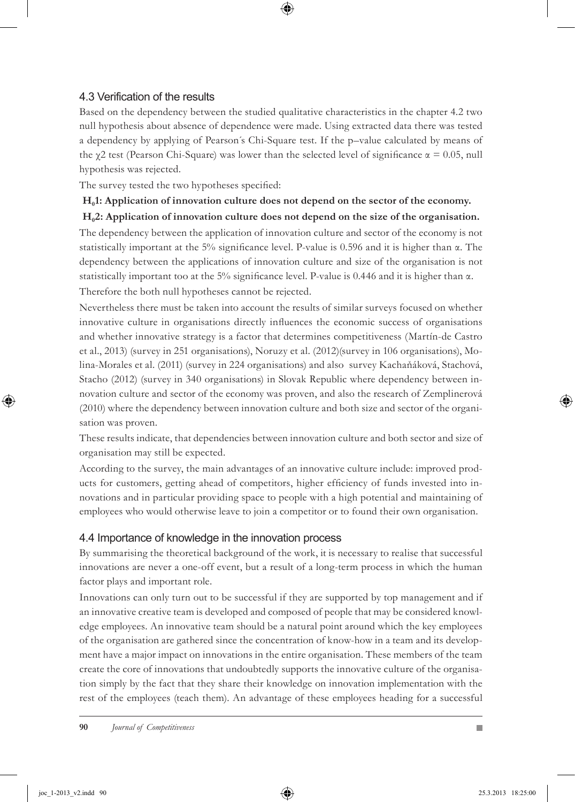#### 4.3 Verification of the results

Based on the dependency between the studied qualitative characteristics in the chapter 4.2 two null hypothesis about absence of dependence were made. Using extracted data there was tested a dependency by applying of Pearson´s Chi-Square test. If the p–value calculated by means of the  $\gamma$ 2 test (Pearson Chi-Square) was lower than the selected level of significance  $\alpha$  = 0.05, null hypothesis was rejected.

The survey tested the two hypotheses specified:

#### H<sub>0</sub>1: Application of innovation culture does not depend on the sector of the economy.

#### **H02: Application of innovation culture does not depend on the size of the organisation.**

The dependency between the application of innovation culture and sector of the economy is not statistically important at the 5% significance level. P-value is 0.596 and it is higher than  $\alpha$ . The dependency between the applications of innovation culture and size of the organisation is not statistically important too at the 5% significance level. P-value is 0.446 and it is higher than  $\alpha$ .

Therefore the both null hypotheses cannot be rejected.

Nevertheless there must be taken into account the results of similar surveys focused on whether innovative culture in organisations directly influences the economic success of organisations and whether innovative strategy is a factor that determines competitiveness (Martín-de Castro et al., 2013) (survey in 251 organisations), Noruzy et al. (2012)(survey in 106 organisations), Molina-Morales et al. (2011) (survey in 224 organisations) and also survey Kachaňáková, Stachová, Stacho (2012) (survey in 340 organisations) in Slovak Republic where dependency between innovation culture and sector of the economy was proven, and also the research of Zemplinerová (2010) where the dependency between innovation culture and both size and sector of the organisation was proven.

These results indicate, that dependencies between innovation culture and both sector and size of organisation may still be expected.

According to the survey, the main advantages of an innovative culture include: improved products for customers, getting ahead of competitors, higher efficiency of funds invested into innovations and in particular providing space to people with a high potential and maintaining of employees who would otherwise leave to join a competitor or to found their own organisation.

#### 4.4 Importance of knowledge in the innovation process

By summarising the theoretical background of the work, it is necessary to realise that successful innovations are never a one-off event, but a result of a long-term process in which the human factor plays and important role.

Innovations can only turn out to be successful if they are supported by top management and if an innovative creative team is developed and composed of people that may be considered knowledge employees. An innovative team should be a natural point around which the key employees of the organisation are gathered since the concentration of know-how in a team and its development have a major impact on innovations in the entire organisation. These members of the team create the core of innovations that undoubtedly supports the innovative culture of the organisation simply by the fact that they share their knowledge on innovation implementation with the rest of the employees (teach them). An advantage of these employees heading for a successful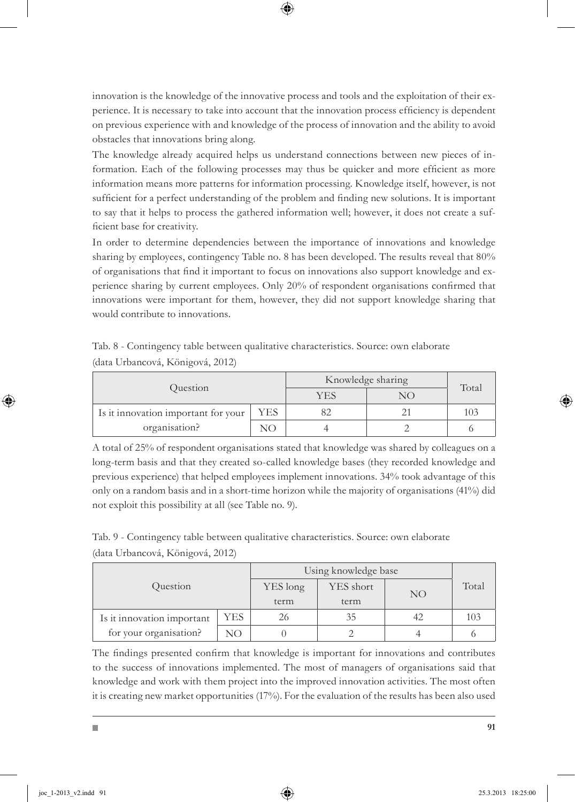innovation is the knowledge of the innovative process and tools and the exploitation of their experience. It is necessary to take into account that the innovation process efficiency is dependent on previous experience with and knowledge of the process of innovation and the ability to avoid obstacles that innovations bring along.

The knowledge already acquired helps us understand connections between new pieces of information. Each of the following processes may thus be quicker and more efficient as more information means more patterns for information processing. Knowledge itself, however, is not sufficient for a perfect understanding of the problem and finding new solutions. It is important to say that it helps to process the gathered information well; however, it does not create a sufficient base for creativity.

In order to determine dependencies between the importance of innovations and knowledge sharing by employees, contingency Table no. 8 has been developed. The results reveal that 80% of organisations that find it important to focus on innovations also support knowledge and experience sharing by current employees. Only 20% of respondent organisations confirmed that innovations were important for them, however, they did not support knowledge sharing that would contribute to innovations.

|                                                                   | Knowledge sharing | Total |    |     |
|-------------------------------------------------------------------|-------------------|-------|----|-----|
| <b>Ouestion</b>                                                   |                   | YES   | NO |     |
| YES<br>Is it innovation important for your<br>organisation?<br>NO |                   |       |    | 103 |
|                                                                   |                   |       |    |     |

Tab. 8 - Contingency table between qualitative characteristics. Source: own elaborate (data Urbancová, Königová, 2012)

A total of 25% of respondent organisations stated that knowledge was shared by colleagues on a long-term basis and that they created so-called knowledge bases (they recorded knowledge and previous experience) that helped employees implement innovations. 34% took advantage of this only on a random basis and in a short-time horizon while the majority of organisations (41%) did not exploit this possibility at all (see Table no. 9).

Tab. 9 - Contingency table between qualitative characteristics. Source: own elaborate (data Urbancová, Königová, 2012)

|                            | Using knowledge base |              |           |                 |       |
|----------------------------|----------------------|--------------|-----------|-----------------|-------|
| Question                   |                      | YES long     | YES short | NO <sub>1</sub> | Total |
|                            |                      | term<br>term |           |                 |       |
| Is it innovation important | YES                  | 26           | 35        | 42              | 103   |
| for your organisation?     | NΟ                   |              |           |                 |       |

The findings presented confirm that knowledge is important for innovations and contributes to the success of innovations implemented. The most of managers of organisations said that knowledge and work with them project into the improved innovation activities. The most often it is creating new market opportunities (17%). For the evaluation of the results has been also used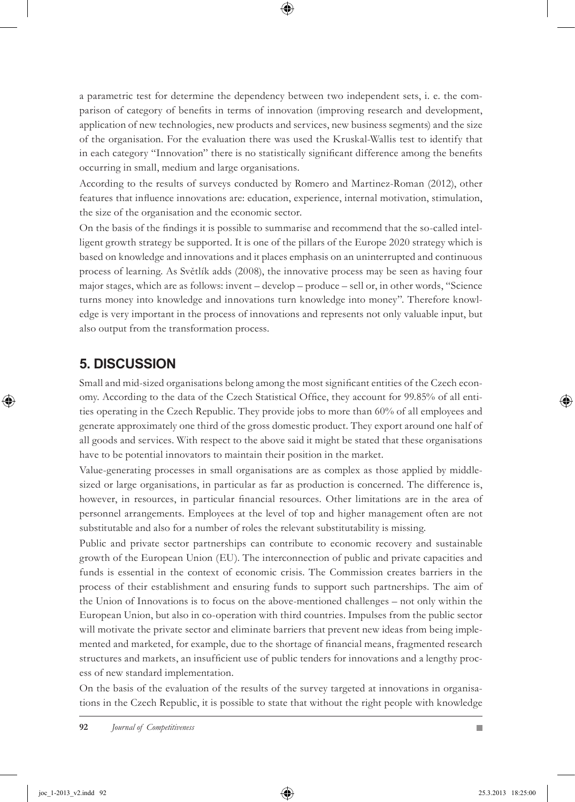a parametric test for determine the dependency between two independent sets, i. e. the comparison of category of benefits in terms of innovation (improving research and development, application of new technologies, new products and services, new business segments) and the size of the organisation. For the evaluation there was used the Kruskal-Wallis test to identify that in each category "Innovation" there is no statistically significant difference among the benefits occurring in small, medium and large organisations.

According to the results of surveys conducted by Romero and Martinez-Roman (2012), other features that influence innovations are: education, experience, internal motivation, stimulation, the size of the organisation and the economic sector.

On the basis of the findings it is possible to summarise and recommend that the so-called intelligent growth strategy be supported. It is one of the pillars of the Europe 2020 strategy which is based on knowledge and innovations and it places emphasis on an uninterrupted and continuous process of learning. As Světlík adds (2008), the innovative process may be seen as having four major stages, which are as follows: invent – develop – produce – sell or, in other words, "Science turns money into knowledge and innovations turn knowledge into money". Therefore knowledge is very important in the process of innovations and represents not only valuable input, but also output from the transformation process.

## **5. DISCUSSION**

Small and mid-sized organisations belong among the most significant entities of the Czech economy. According to the data of the Czech Statistical Office, they account for 99.85% of all entities operating in the Czech Republic. They provide jobs to more than 60% of all employees and generate approximately one third of the gross domestic product. They export around one half of all goods and services. With respect to the above said it might be stated that these organisations have to be potential innovators to maintain their position in the market.

Value-generating processes in small organisations are as complex as those applied by middlesized or large organisations, in particular as far as production is concerned. The difference is, however, in resources, in particular financial resources. Other limitations are in the area of personnel arrangements. Employees at the level of top and higher management often are not substitutable and also for a number of roles the relevant substitutability is missing.

Public and private sector partnerships can contribute to economic recovery and sustainable growth of the European Union (EU). The interconnection of public and private capacities and funds is essential in the context of economic crisis. The Commission creates barriers in the process of their establishment and ensuring funds to support such partnerships. The aim of the Union of Innovations is to focus on the above-mentioned challenges – not only within the European Union, but also in co-operation with third countries. Impulses from the public sector will motivate the private sector and eliminate barriers that prevent new ideas from being implemented and marketed, for example, due to the shortage of financial means, fragmented research structures and markets, an insufficient use of public tenders for innovations and a lengthy process of new standard implementation.

On the basis of the evaluation of the results of the survey targeted at innovations in organisations in the Czech Republic, it is possible to state that without the right people with knowledge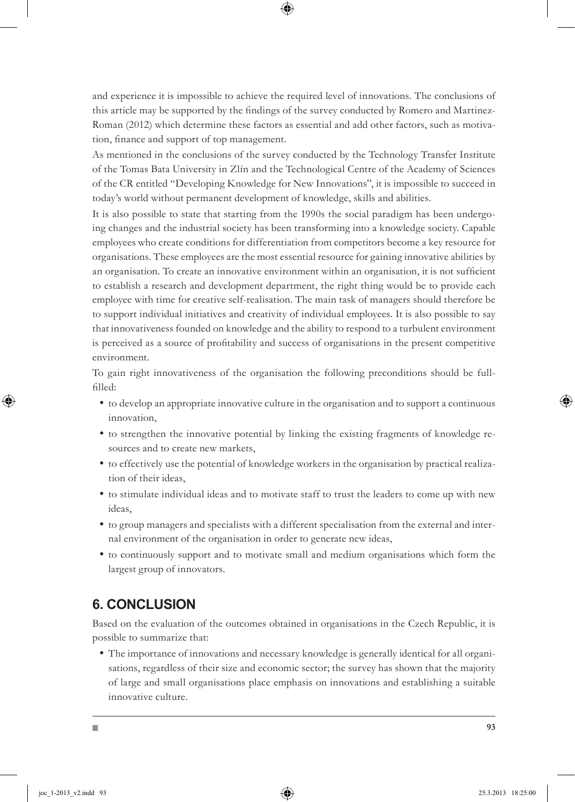and experience it is impossible to achieve the required level of innovations. The conclusions of this article may be supported by the findings of the survey conducted by Romero and Martinez-Roman (2012) which determine these factors as essential and add other factors, such as motivation, finance and support of top management.

As mentioned in the conclusions of the survey conducted by the Technology Transfer Institute of the Tomas Bata University in Zlín and the Technological Centre of the Academy of Sciences of the CR entitled "Developing Knowledge for New Innovations", it is impossible to succeed in today's world without permanent development of knowledge, skills and abilities.

It is also possible to state that starting from the 1990s the social paradigm has been undergoing changes and the industrial society has been transforming into a knowledge society. Capable employees who create conditions for differentiation from competitors become a key resource for organisations. These employees are the most essential resource for gaining innovative abilities by an organisation. To create an innovative environment within an organisation, it is not sufficient to establish a research and development department, the right thing would be to provide each employee with time for creative self-realisation. The main task of managers should therefore be to support individual initiatives and creativity of individual employees. It is also possible to say that innovativeness founded on knowledge and the ability to respond to a turbulent environment is perceived as a source of profitability and success of organisations in the present competitive environment.

To gain right innovativeness of the organisation the following preconditions should be fullfilled:

- to develop an appropriate innovative culture in the organisation and to support a continuous innovation,
- to strengthen the innovative potential by linking the existing fragments of knowledge re sources and to create new markets,
- to effectively use the potential of knowledge workers in the organisation by practical realiza tion of their ideas,
- to stimulate individual ideas and to motivate staff to trust the leaders to come up with new ideas,
- to group managers and specialists with a different specialisation from the external and inter nal environment of the organisation in order to generate new ideas,
- to continuously support and to motivate small and medium organisations which form the largest group of innovators.

# **6. CONCLUSION**

Based on the evaluation of the outcomes obtained in organisations in the Czech Republic, it is possible to summarize that:

The importance of innovations and necessary knowledge is generally identical for all organi sations, regardless of their size and economic sector; the survey has shown that the majority of large and small organisations place emphasis on innovations and establishing a suitable innovative culture.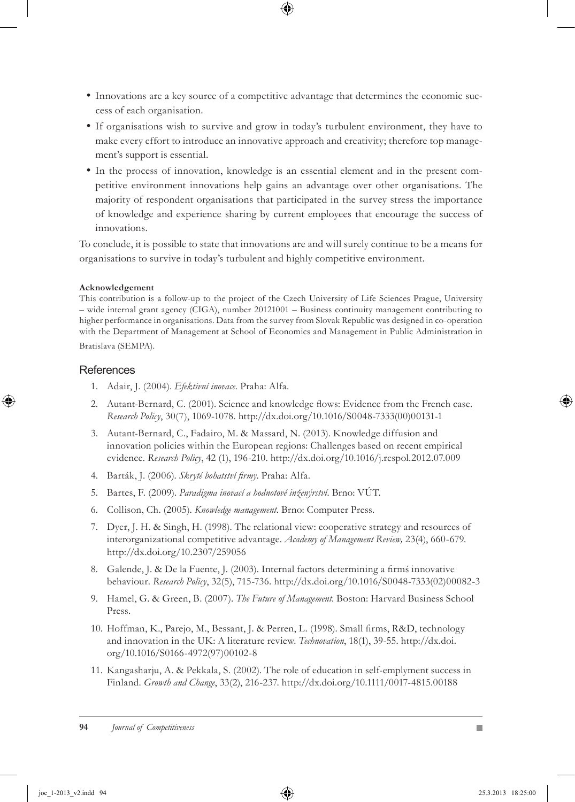- Innovations are a key source of a competitive advantage that determines the economic suc cess of each organisation.
- If organisations wish to survive and grow in today's turbulent environment, they have to make every effort to introduce an innovative approach and creativity; therefore top management's support is essential.
- In the process of innovation, knowledge is an essential element and in the present com petitive environment innovations help gains an advantage over other organisations. The majority of respondent organisations that participated in the survey stress the importance of knowledge and experience sharing by current employees that encourage the success of innovations.

To conclude, it is possible to state that innovations are and will surely continue to be a means for organisations to survive in today's turbulent and highly competitive environment.

#### **Acknowledgement**

This contribution is a follow-up to the project of the Czech University of Life Sciences Prague, University – wide internal grant agency (CIGA), number 20121001 – Business continuity management contributing to higher performance in organisations. Data from the survey from Slovak Republic was designed in co-operation with the Department of Management at School of Economics and Management in Public Administration in Bratislava (SEMPA).

#### References

- Adair, J. (2004). *Efektivní inovace*. Praha: Alfa. 1.
- 2. Autant-Bernard, C. (2001). Science and knowledge flows: Evidence from the French case. *Research Policy*, 30(7), 1069-1078. http://dx.doi.org/10.1016/S0048-7333(00)00131-1
- Autant-Bernard, C., Fadairo, M. & Massard, N. (2013). Knowledge diffusion and 3. innovation policies within the European regions: Challenges based on recent empirical evidence. *Research Policy*, 42 (1), 196-210. http://dx.doi.org/10.1016/j.respol.2012.07.009
- Barták, J. (2006). *Skryté bohatství firmy*. Praha: Alfa. 4.
- Bartes, F. (2009). *Paradigma inovací a hodnotové inženýrství.* Brno: VÚT. 5.
- 6. Collison, Ch. (2005). *Knowledge management*. Brno: Computer Press.
- 7. Dyer, J. H. & Singh, H. (1998). The relational view: cooperative strategy and resources of interorganizational competitive advantage. *Academy of Management Review,* 23(4), 660-679. http://dx.doi.org/10.2307/259056
- Galende, J. & De la Fuente, J. (2003). Internal factors determining a firmś innovative 8. behaviour. *Research Policy*, 32(5), 715-736. http://dx.doi.org/10.1016/S0048-7333(02)00082-3
- 9. Hamel, G. & Green, B. (2007). *The Future of Management*. Boston: Harvard Business School Press.
- 10. Hoffman, K., Parejo, M., Bessant, J. & Perren, L. (1998). Small firms, R&D, technology and innovation in the UK: A literature review. *Technovation*, 18(1), 39-55. http://dx.doi. org/10.1016/S0166-4972(97)00102-8
- 11. Kangasharju, A. & Pekkala, S. (2002). The role of education in self-emplyment success in Finland. *Growth and Change*, 33(2), 216-237. http://dx.doi.org/10.1111/0017-4815.00188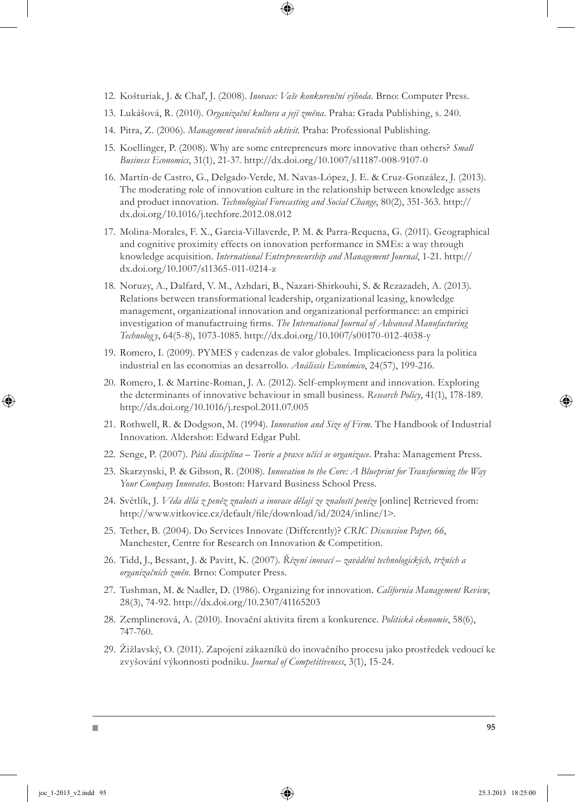- 12. Košturiak, J. & Chaľ, J. (2008). *Inovace: Vaše konkurenční výhoda*. Brno: Computer Press.
- Lukášová, R. (2010). *Organizační kultura a její změna.* Praha: Grada Publishing, s. 240. 13.
- 14. Pitra, Z. (2006). Management inovačních aktivit. Praha: Professional Publishing.
- 15. Koellinger, P. (2008). Why are some entrepreneurs more innovative than others? Small *Business Economics*, 31(1), 21-37. http://dx.doi.org/10.1007/s11187-008-9107-0
- 16. Martín-de Castro, G., Delgado-Verde, M. Navas-López, J. E. & Cruz-González, J. (2013). The moderating role of innovation culture in the relationship between knowledge assets and product innovation. *Technological Forecasting and Social Change*, 80(2), 351-363. http:// dx.doi.org/10.1016/j.techfore.2012.08.012
- 17. Molina-Morales, F. X., Garcia-Villaverde, P. M. & Parra-Requena, G. (2011). Geographical and cognitive proximity effects on innovation performance in SMEs: a way through knowledge acquisition. *International Entrepreneurship and Management Journal*, 1-21. http:// dx.doi.org/10.1007/s11365-011-0214-z
- Noruzy, A., Dalfard, V. M., Azhdari, B., Nazari-Shirkouhi, S. & Rezazadeh, A. (2013). 18. Relations between transformational leadership, organizational leasing, knowledge management, organizational innovation and organizational performance: an empirici investigation of manufactruing firms. *The International Journal of Advanced Manufacturing Technolog y*, 64(5-8), 1073-1085. http://dx.doi.org/10.1007/s00170-012-4038-y
- 19. Romero, I. (2009). PYMES y cadenzas de valor globales. Implicacioness para la politica industrial en las economias an desarrollo. *Análissis Económico*, 24(57), 199-216.
- 20. Romero, I. & Martine-Roman, J. A. (2012). Self-employment and innovation. Exploring the determinants of innovative behaviour in small business. *Research Policy*, 41(1), 178-189. http://dx.doi.org/10.1016/j.respol.2011.07.005
- 21. Rothwell, R. & Dodgson, M. (1994). *Innovation and Size of Firm*. The Handbook of Industrial Innovation. Aldershot: Edward Edgar Publ.
- 22. Senge, P. (2007). Pátá disciplína Teorie a praxe učící se organizace. Praha: Management Press.
- 23. Skarzynski, P. & Gibson, R. (2008). *Innovation to the Core: A Blueprint for Transforming the Way Your Company Innovates*. Boston: Harvard Business School Press.
- 24. Světlík, J. *Věda dělá z peněz znalosti a inovace dělají ze znalostí peníze* [online] Retrieved from: http://www.vitkovice.cz/default/file/download/id/2024/inline/1>.
- 25. Tether, B. (2004). Do Services Innovate (Differently)? CRIC Discussion Paper, 66, Manchester, Centre for Research on Innovation & Competition.
- Tidd, J., Bessant, J. & Pavitt, K. (2007). *Řízení inovací zavádění technologických, tržních a*  26. *organizačních změn.* Brno: Computer Press.
- 27. Tushman, M. & Nadler, D. (1986). Organizing for innovation. *California Management Review*, 28(3), 74-92. http://dx.doi.org/10.2307/41165203
- 28. Zemplinerová, A. (2010). Inovační aktivita firem a konkurence. Politická ekonomie, 58(6), 747-760.
- 29. Žižlavský, O. (2011). Zapojení zákazníků do inovačního procesu jako prostředek vedoucí ke zvyšování výkonnosti podniku. *Journal of Competitiveness*, 3(1), 15-24.